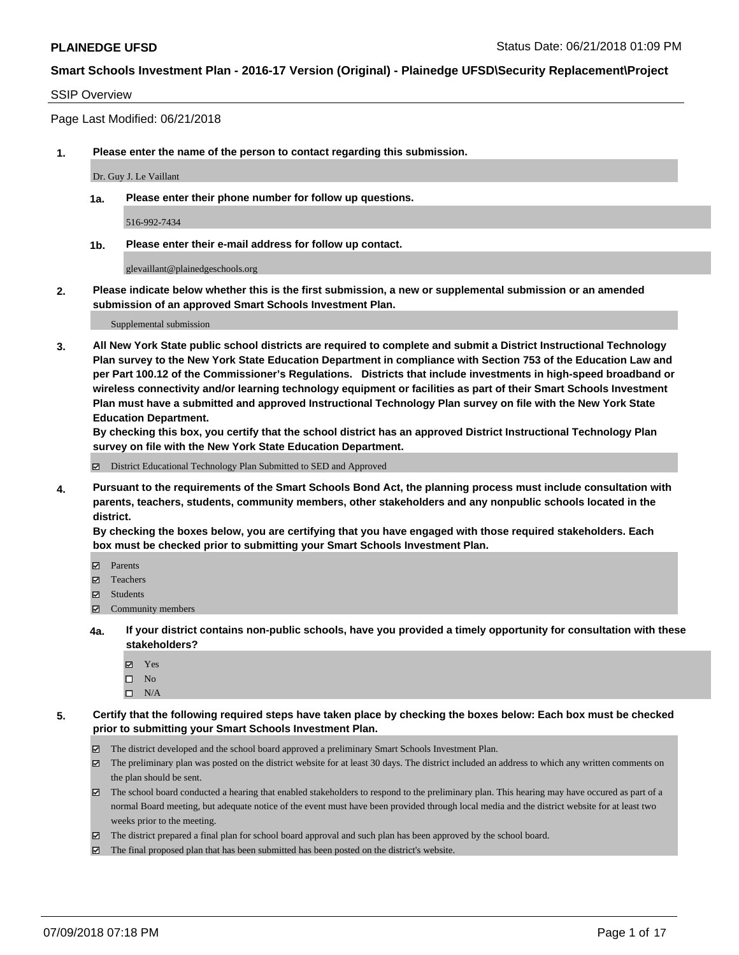### SSIP Overview

Page Last Modified: 06/21/2018

**1. Please enter the name of the person to contact regarding this submission.**

Dr. Guy J. Le Vaillant

**1a. Please enter their phone number for follow up questions.**

516-992-7434

**1b. Please enter their e-mail address for follow up contact.**

glevaillant@plainedgeschools.org

**2. Please indicate below whether this is the first submission, a new or supplemental submission or an amended submission of an approved Smart Schools Investment Plan.**

Supplemental submission

**3. All New York State public school districts are required to complete and submit a District Instructional Technology Plan survey to the New York State Education Department in compliance with Section 753 of the Education Law and per Part 100.12 of the Commissioner's Regulations. Districts that include investments in high-speed broadband or wireless connectivity and/or learning technology equipment or facilities as part of their Smart Schools Investment Plan must have a submitted and approved Instructional Technology Plan survey on file with the New York State Education Department.** 

**By checking this box, you certify that the school district has an approved District Instructional Technology Plan survey on file with the New York State Education Department.**

District Educational Technology Plan Submitted to SED and Approved

**4. Pursuant to the requirements of the Smart Schools Bond Act, the planning process must include consultation with parents, teachers, students, community members, other stakeholders and any nonpublic schools located in the district.** 

**By checking the boxes below, you are certifying that you have engaged with those required stakeholders. Each box must be checked prior to submitting your Smart Schools Investment Plan.**

- Parents
- Teachers
- Students
- $\Xi$  Community members
- **4a. If your district contains non-public schools, have you provided a timely opportunity for consultation with these stakeholders?**
	- Yes
	- $\square$  No
	- $\square$  N/A
- **5. Certify that the following required steps have taken place by checking the boxes below: Each box must be checked prior to submitting your Smart Schools Investment Plan.**
	- The district developed and the school board approved a preliminary Smart Schools Investment Plan.
	- $\boxtimes$  The preliminary plan was posted on the district website for at least 30 days. The district included an address to which any written comments on the plan should be sent.
	- $\boxtimes$  The school board conducted a hearing that enabled stakeholders to respond to the preliminary plan. This hearing may have occured as part of a normal Board meeting, but adequate notice of the event must have been provided through local media and the district website for at least two weeks prior to the meeting.
	- The district prepared a final plan for school board approval and such plan has been approved by the school board.
	- $\boxtimes$  The final proposed plan that has been submitted has been posted on the district's website.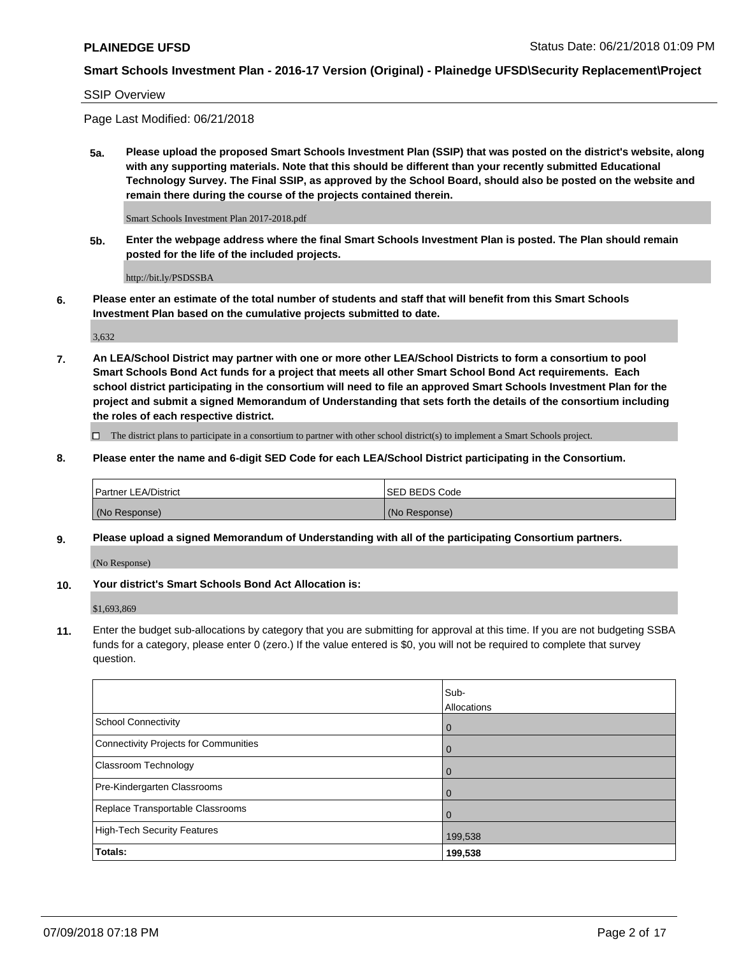### SSIP Overview

Page Last Modified: 06/21/2018

**5a. Please upload the proposed Smart Schools Investment Plan (SSIP) that was posted on the district's website, along with any supporting materials. Note that this should be different than your recently submitted Educational Technology Survey. The Final SSIP, as approved by the School Board, should also be posted on the website and remain there during the course of the projects contained therein.**

Smart Schools Investment Plan 2017-2018.pdf

**5b. Enter the webpage address where the final Smart Schools Investment Plan is posted. The Plan should remain posted for the life of the included projects.**

http://bit.ly/PSDSSBA

**6. Please enter an estimate of the total number of students and staff that will benefit from this Smart Schools Investment Plan based on the cumulative projects submitted to date.**

3,632

**7. An LEA/School District may partner with one or more other LEA/School Districts to form a consortium to pool Smart Schools Bond Act funds for a project that meets all other Smart School Bond Act requirements. Each school district participating in the consortium will need to file an approved Smart Schools Investment Plan for the project and submit a signed Memorandum of Understanding that sets forth the details of the consortium including the roles of each respective district.**

 $\Box$  The district plans to participate in a consortium to partner with other school district(s) to implement a Smart Schools project.

#### **8. Please enter the name and 6-digit SED Code for each LEA/School District participating in the Consortium.**

| <b>Partner LEA/District</b> | <b>ISED BEDS Code</b> |
|-----------------------------|-----------------------|
| (No Response)               | (No Response)         |

#### **9. Please upload a signed Memorandum of Understanding with all of the participating Consortium partners.**

(No Response)

### **10. Your district's Smart Schools Bond Act Allocation is:**

\$1,693,869

**11.** Enter the budget sub-allocations by category that you are submitting for approval at this time. If you are not budgeting SSBA funds for a category, please enter 0 (zero.) If the value entered is \$0, you will not be required to complete that survey question.

|                                              | Sub-<br>Allocations |
|----------------------------------------------|---------------------|
| <b>School Connectivity</b>                   | $\mathbf 0$         |
| <b>Connectivity Projects for Communities</b> | $\Omega$            |
| Classroom Technology                         | $\mathbf 0$         |
| Pre-Kindergarten Classrooms                  | $\overline{0}$      |
| Replace Transportable Classrooms             | $\Omega$            |
| <b>High-Tech Security Features</b>           | 199,538             |
| Totals:                                      | 199,538             |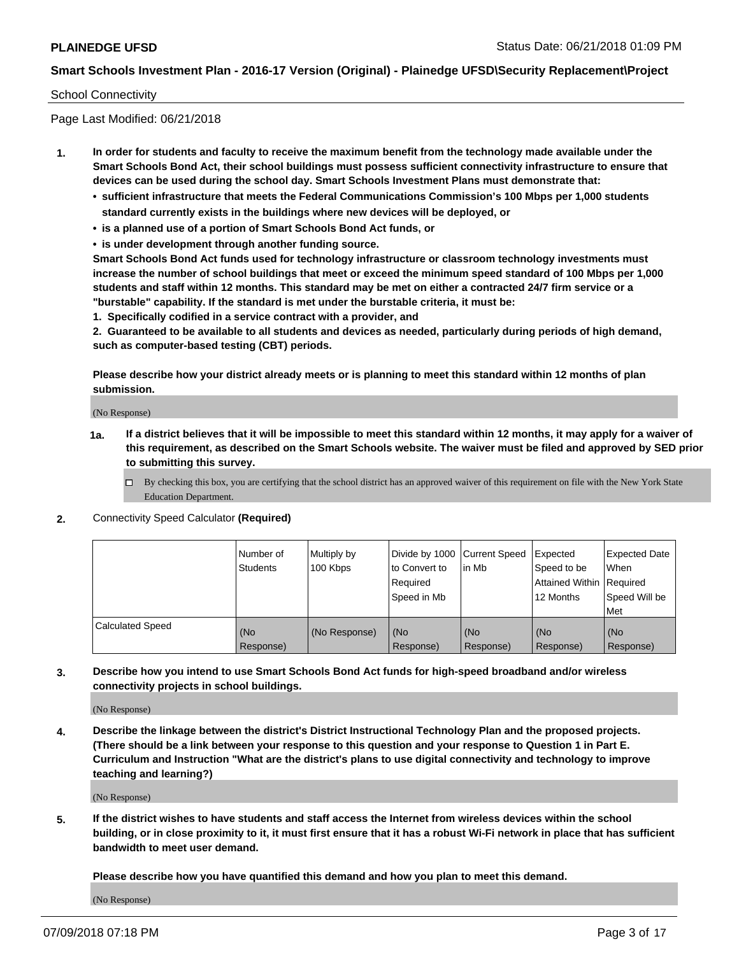### School Connectivity

Page Last Modified: 06/21/2018

- **1. In order for students and faculty to receive the maximum benefit from the technology made available under the Smart Schools Bond Act, their school buildings must possess sufficient connectivity infrastructure to ensure that devices can be used during the school day. Smart Schools Investment Plans must demonstrate that:**
	- **• sufficient infrastructure that meets the Federal Communications Commission's 100 Mbps per 1,000 students standard currently exists in the buildings where new devices will be deployed, or**
	- **• is a planned use of a portion of Smart Schools Bond Act funds, or**
	- **• is under development through another funding source.**

**Smart Schools Bond Act funds used for technology infrastructure or classroom technology investments must increase the number of school buildings that meet or exceed the minimum speed standard of 100 Mbps per 1,000 students and staff within 12 months. This standard may be met on either a contracted 24/7 firm service or a "burstable" capability. If the standard is met under the burstable criteria, it must be:**

**1. Specifically codified in a service contract with a provider, and**

**2. Guaranteed to be available to all students and devices as needed, particularly during periods of high demand, such as computer-based testing (CBT) periods.**

**Please describe how your district already meets or is planning to meet this standard within 12 months of plan submission.**

(No Response)

- **1a. If a district believes that it will be impossible to meet this standard within 12 months, it may apply for a waiver of this requirement, as described on the Smart Schools website. The waiver must be filed and approved by SED prior to submitting this survey.**
	- By checking this box, you are certifying that the school district has an approved waiver of this requirement on file with the New York State Education Department.
- **2.** Connectivity Speed Calculator **(Required)**

|                         | l Number of<br><b>Students</b> | Multiply by<br>100 Kbps | Divide by 1000 Current Speed<br>to Convert to<br>Required<br>l Speed in Mb | lin Mb           | Expected<br>Speed to be<br>Attained Within Required<br>12 Months | <b>Expected Date</b><br><b>When</b><br>Speed Will be<br>l Met |
|-------------------------|--------------------------------|-------------------------|----------------------------------------------------------------------------|------------------|------------------------------------------------------------------|---------------------------------------------------------------|
| <b>Calculated Speed</b> | (No<br>Response)               | (No Response)           | (No<br>Response)                                                           | (No<br>Response) | (No<br>Response)                                                 | l (No<br>Response)                                            |

**3. Describe how you intend to use Smart Schools Bond Act funds for high-speed broadband and/or wireless connectivity projects in school buildings.**

(No Response)

**4. Describe the linkage between the district's District Instructional Technology Plan and the proposed projects. (There should be a link between your response to this question and your response to Question 1 in Part E. Curriculum and Instruction "What are the district's plans to use digital connectivity and technology to improve teaching and learning?)**

(No Response)

**5. If the district wishes to have students and staff access the Internet from wireless devices within the school building, or in close proximity to it, it must first ensure that it has a robust Wi-Fi network in place that has sufficient bandwidth to meet user demand.**

**Please describe how you have quantified this demand and how you plan to meet this demand.**

(No Response)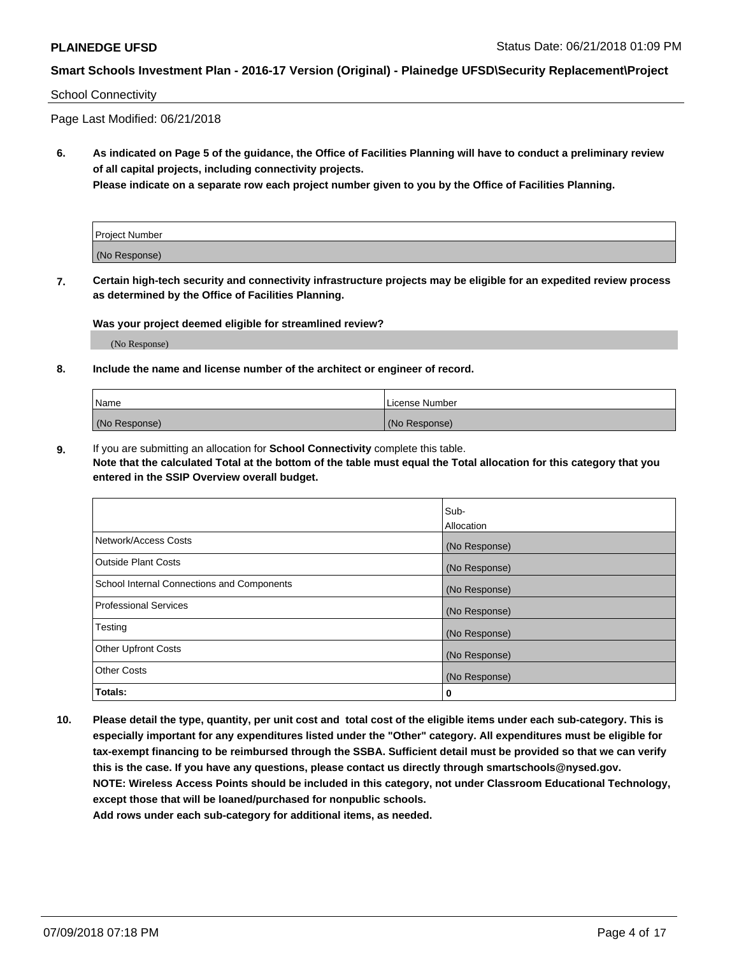### School Connectivity

Page Last Modified: 06/21/2018

**6. As indicated on Page 5 of the guidance, the Office of Facilities Planning will have to conduct a preliminary review of all capital projects, including connectivity projects.**

**Please indicate on a separate row each project number given to you by the Office of Facilities Planning.**

| Project Number |  |
|----------------|--|
| (No Response)  |  |

**7. Certain high-tech security and connectivity infrastructure projects may be eligible for an expedited review process as determined by the Office of Facilities Planning.**

#### **Was your project deemed eligible for streamlined review?**

(No Response)

#### **8. Include the name and license number of the architect or engineer of record.**

| Name          | License Number |
|---------------|----------------|
| (No Response) | (No Response)  |

**9.** If you are submitting an allocation for **School Connectivity** complete this table.

**Note that the calculated Total at the bottom of the table must equal the Total allocation for this category that you entered in the SSIP Overview overall budget.** 

|                                            | Sub-          |
|--------------------------------------------|---------------|
|                                            | Allocation    |
| Network/Access Costs                       | (No Response) |
| Outside Plant Costs                        | (No Response) |
| School Internal Connections and Components | (No Response) |
| Professional Services                      | (No Response) |
| Testing                                    | (No Response) |
| <b>Other Upfront Costs</b>                 | (No Response) |
| <b>Other Costs</b>                         | (No Response) |
| Totals:                                    | 0             |

**10. Please detail the type, quantity, per unit cost and total cost of the eligible items under each sub-category. This is especially important for any expenditures listed under the "Other" category. All expenditures must be eligible for tax-exempt financing to be reimbursed through the SSBA. Sufficient detail must be provided so that we can verify this is the case. If you have any questions, please contact us directly through smartschools@nysed.gov. NOTE: Wireless Access Points should be included in this category, not under Classroom Educational Technology, except those that will be loaned/purchased for nonpublic schools.**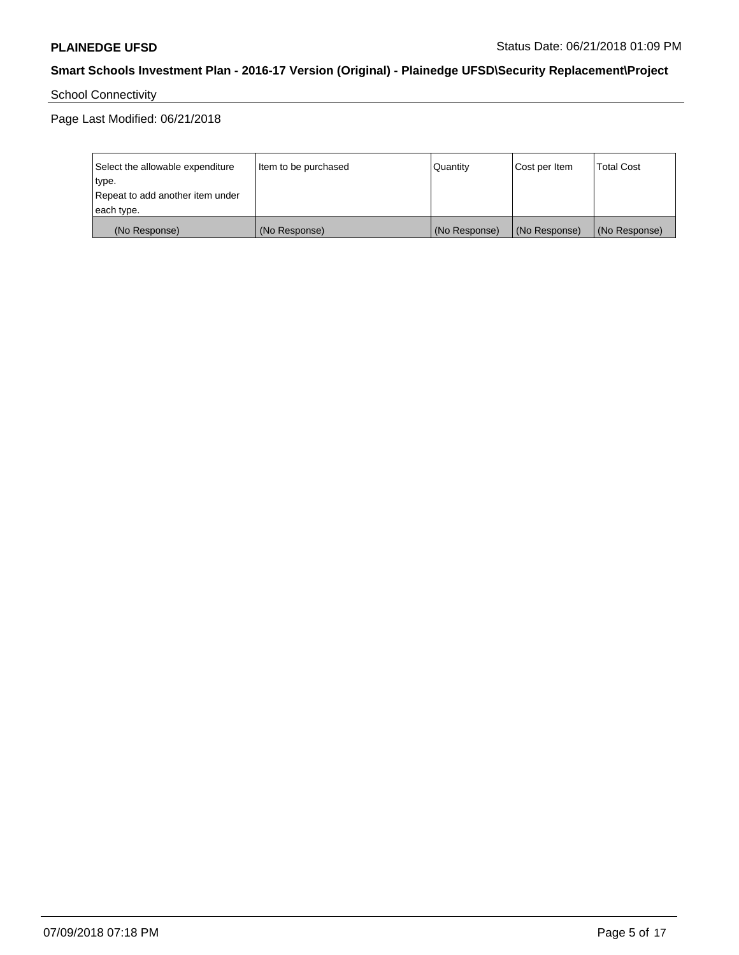# School Connectivity

Page Last Modified: 06/21/2018

| Select the allowable expenditure | Item to be purchased | Quantity      | Cost per Item | <b>Total Cost</b> |
|----------------------------------|----------------------|---------------|---------------|-------------------|
| type.                            |                      |               |               |                   |
| Repeat to add another item under |                      |               |               |                   |
| each type.                       |                      |               |               |                   |
| (No Response)                    | (No Response)        | (No Response) | (No Response) | (No Response)     |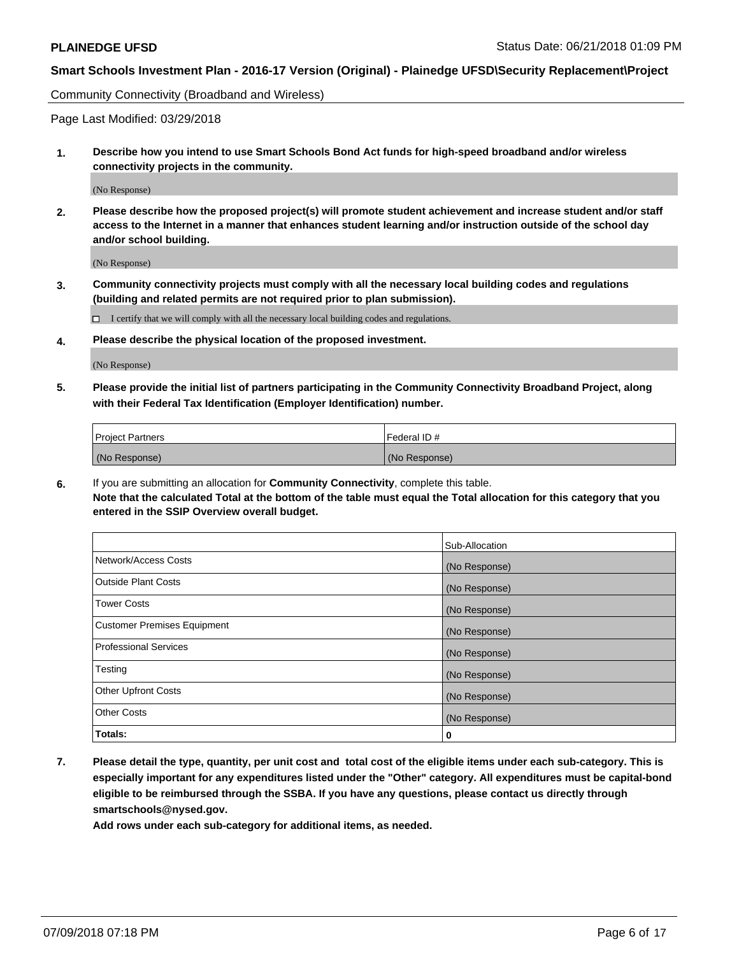Community Connectivity (Broadband and Wireless)

Page Last Modified: 03/29/2018

**1. Describe how you intend to use Smart Schools Bond Act funds for high-speed broadband and/or wireless connectivity projects in the community.**

(No Response)

**2. Please describe how the proposed project(s) will promote student achievement and increase student and/or staff access to the Internet in a manner that enhances student learning and/or instruction outside of the school day and/or school building.**

(No Response)

**3. Community connectivity projects must comply with all the necessary local building codes and regulations (building and related permits are not required prior to plan submission).**

 $\Box$  I certify that we will comply with all the necessary local building codes and regulations.

**4. Please describe the physical location of the proposed investment.**

(No Response)

**5. Please provide the initial list of partners participating in the Community Connectivity Broadband Project, along with their Federal Tax Identification (Employer Identification) number.**

| <b>Project Partners</b> | Federal ID#   |
|-------------------------|---------------|
| (No Response)           | (No Response) |

**6.** If you are submitting an allocation for **Community Connectivity**, complete this table. **Note that the calculated Total at the bottom of the table must equal the Total allocation for this category that you entered in the SSIP Overview overall budget.**

|                                    | Sub-Allocation |
|------------------------------------|----------------|
| Network/Access Costs               | (No Response)  |
| Outside Plant Costs                | (No Response)  |
| <b>Tower Costs</b>                 | (No Response)  |
| <b>Customer Premises Equipment</b> | (No Response)  |
| <b>Professional Services</b>       | (No Response)  |
| Testing                            | (No Response)  |
| Other Upfront Costs                | (No Response)  |
| <b>Other Costs</b>                 | (No Response)  |
| Totals:                            | 0              |

**7. Please detail the type, quantity, per unit cost and total cost of the eligible items under each sub-category. This is especially important for any expenditures listed under the "Other" category. All expenditures must be capital-bond eligible to be reimbursed through the SSBA. If you have any questions, please contact us directly through smartschools@nysed.gov.**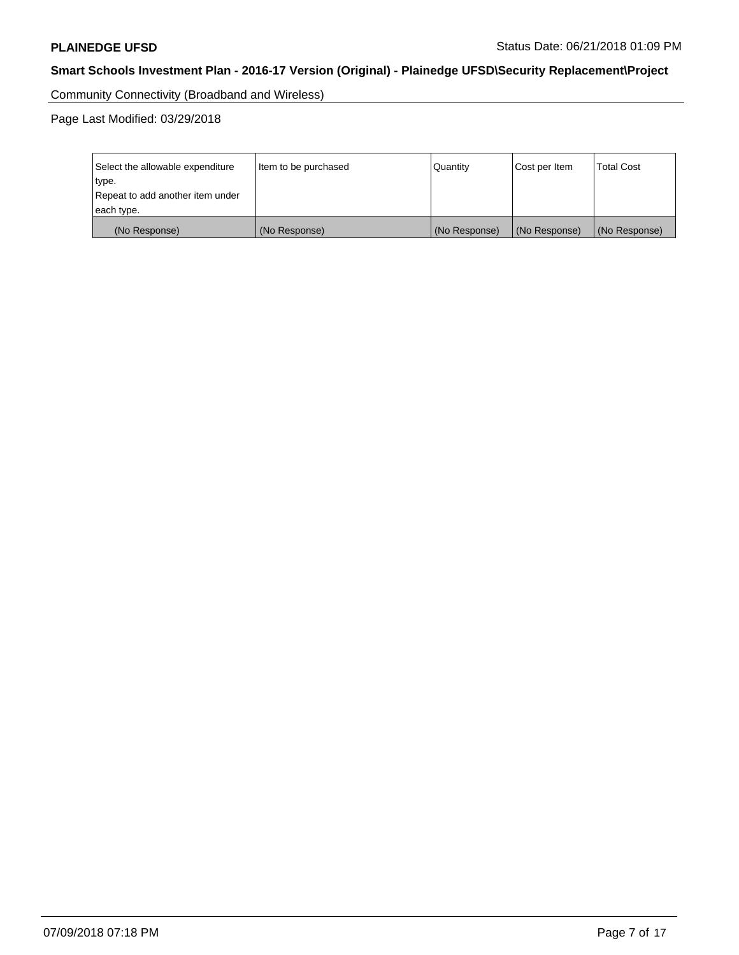Community Connectivity (Broadband and Wireless)

Page Last Modified: 03/29/2018

| Select the allowable expenditure<br>type.<br>Repeat to add another item under | Item to be purchased | Quantity      | Cost per Item | <b>Total Cost</b> |
|-------------------------------------------------------------------------------|----------------------|---------------|---------------|-------------------|
| each type.                                                                    |                      |               |               |                   |
| (No Response)                                                                 | (No Response)        | (No Response) | (No Response) | (No Response)     |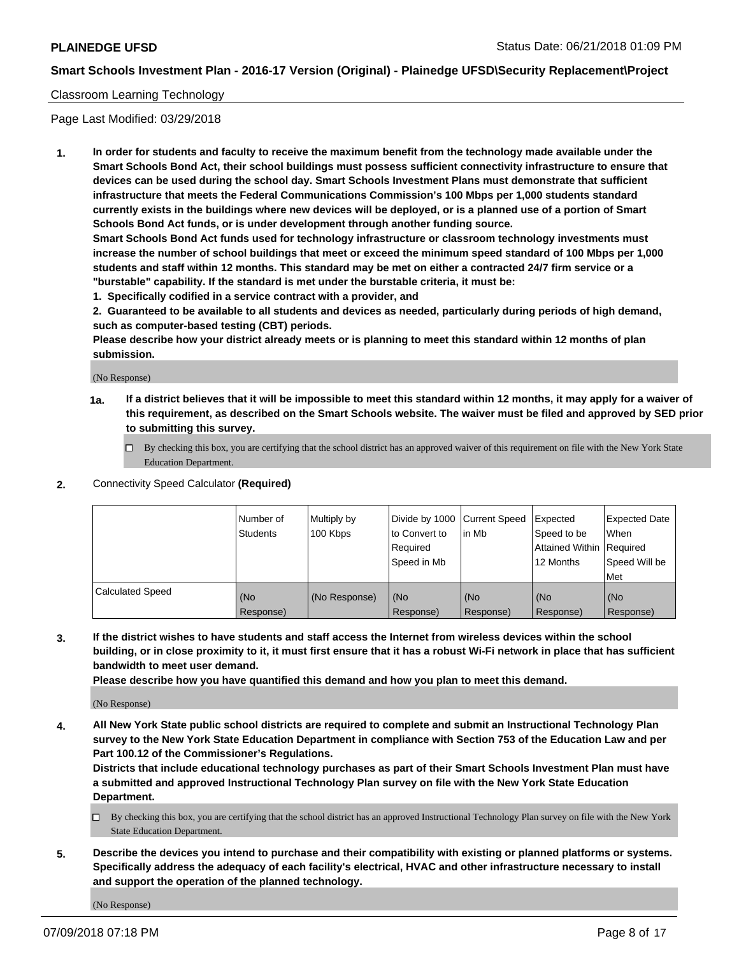### Classroom Learning Technology

Page Last Modified: 03/29/2018

**1. In order for students and faculty to receive the maximum benefit from the technology made available under the Smart Schools Bond Act, their school buildings must possess sufficient connectivity infrastructure to ensure that devices can be used during the school day. Smart Schools Investment Plans must demonstrate that sufficient infrastructure that meets the Federal Communications Commission's 100 Mbps per 1,000 students standard currently exists in the buildings where new devices will be deployed, or is a planned use of a portion of Smart Schools Bond Act funds, or is under development through another funding source.**

**Smart Schools Bond Act funds used for technology infrastructure or classroom technology investments must increase the number of school buildings that meet or exceed the minimum speed standard of 100 Mbps per 1,000 students and staff within 12 months. This standard may be met on either a contracted 24/7 firm service or a "burstable" capability. If the standard is met under the burstable criteria, it must be:**

**1. Specifically codified in a service contract with a provider, and**

**2. Guaranteed to be available to all students and devices as needed, particularly during periods of high demand, such as computer-based testing (CBT) periods.**

**Please describe how your district already meets or is planning to meet this standard within 12 months of plan submission.**

(No Response)

- **1a. If a district believes that it will be impossible to meet this standard within 12 months, it may apply for a waiver of this requirement, as described on the Smart Schools website. The waiver must be filed and approved by SED prior to submitting this survey.**
	- By checking this box, you are certifying that the school district has an approved waiver of this requirement on file with the New York State Education Department.
- **2.** Connectivity Speed Calculator **(Required)**

|                         | Number of<br><b>Students</b> | Multiply by<br>100 Kbps | Divide by 1000 Current Speed<br>to Convert to<br>Required<br>Speed in Mb | l in Mb          | Expected<br>Speed to be<br>Attained Within Required<br>12 Months | Expected Date<br>When<br>Speed Will be<br>Met |
|-------------------------|------------------------------|-------------------------|--------------------------------------------------------------------------|------------------|------------------------------------------------------------------|-----------------------------------------------|
| <b>Calculated Speed</b> | (No<br>Response)             | (No Response)           | (No<br>Response)                                                         | (No<br>Response) | (No<br>Response)                                                 | (No<br>Response)                              |

**3. If the district wishes to have students and staff access the Internet from wireless devices within the school building, or in close proximity to it, it must first ensure that it has a robust Wi-Fi network in place that has sufficient bandwidth to meet user demand.**

**Please describe how you have quantified this demand and how you plan to meet this demand.**

(No Response)

**4. All New York State public school districts are required to complete and submit an Instructional Technology Plan survey to the New York State Education Department in compliance with Section 753 of the Education Law and per Part 100.12 of the Commissioner's Regulations.**

**Districts that include educational technology purchases as part of their Smart Schools Investment Plan must have a submitted and approved Instructional Technology Plan survey on file with the New York State Education Department.**

- By checking this box, you are certifying that the school district has an approved Instructional Technology Plan survey on file with the New York State Education Department.
- **5. Describe the devices you intend to purchase and their compatibility with existing or planned platforms or systems. Specifically address the adequacy of each facility's electrical, HVAC and other infrastructure necessary to install and support the operation of the planned technology.**

(No Response)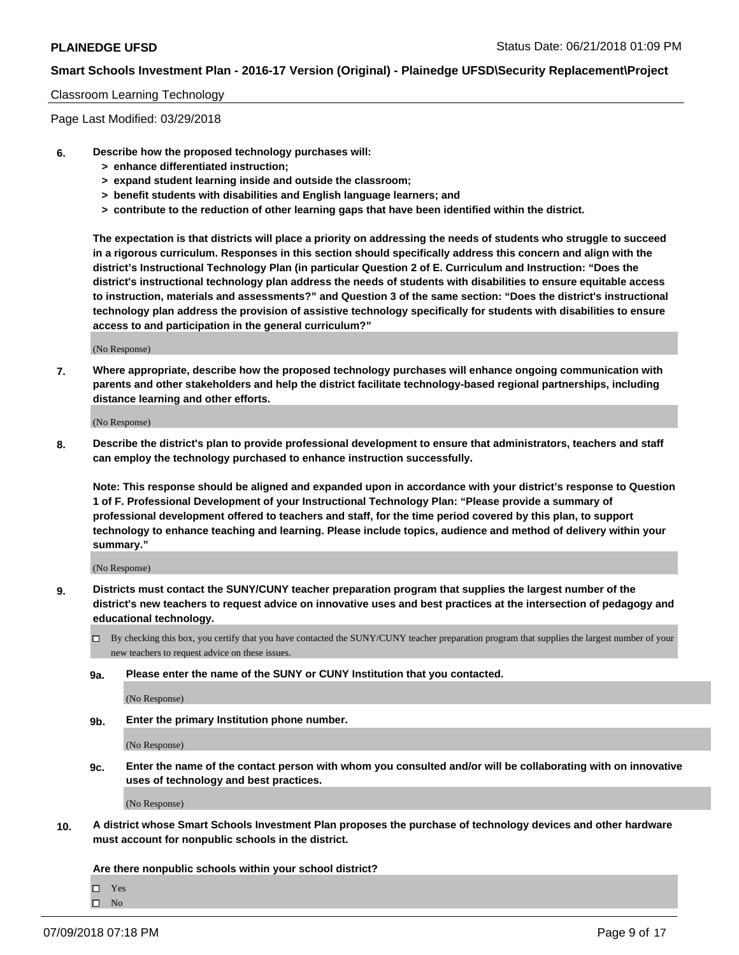#### Classroom Learning Technology

Page Last Modified: 03/29/2018

- **6. Describe how the proposed technology purchases will:**
	- **> enhance differentiated instruction;**
	- **> expand student learning inside and outside the classroom;**
	- **> benefit students with disabilities and English language learners; and**
	- **> contribute to the reduction of other learning gaps that have been identified within the district.**

**The expectation is that districts will place a priority on addressing the needs of students who struggle to succeed in a rigorous curriculum. Responses in this section should specifically address this concern and align with the district's Instructional Technology Plan (in particular Question 2 of E. Curriculum and Instruction: "Does the district's instructional technology plan address the needs of students with disabilities to ensure equitable access to instruction, materials and assessments?" and Question 3 of the same section: "Does the district's instructional technology plan address the provision of assistive technology specifically for students with disabilities to ensure access to and participation in the general curriculum?"**

(No Response)

**7. Where appropriate, describe how the proposed technology purchases will enhance ongoing communication with parents and other stakeholders and help the district facilitate technology-based regional partnerships, including distance learning and other efforts.**

(No Response)

**8. Describe the district's plan to provide professional development to ensure that administrators, teachers and staff can employ the technology purchased to enhance instruction successfully.**

**Note: This response should be aligned and expanded upon in accordance with your district's response to Question 1 of F. Professional Development of your Instructional Technology Plan: "Please provide a summary of professional development offered to teachers and staff, for the time period covered by this plan, to support technology to enhance teaching and learning. Please include topics, audience and method of delivery within your summary."**

(No Response)

- **9. Districts must contact the SUNY/CUNY teacher preparation program that supplies the largest number of the district's new teachers to request advice on innovative uses and best practices at the intersection of pedagogy and educational technology.**
	- $\Box$  By checking this box, you certify that you have contacted the SUNY/CUNY teacher preparation program that supplies the largest number of your new teachers to request advice on these issues.
	- **9a. Please enter the name of the SUNY or CUNY Institution that you contacted.**

(No Response)

**9b. Enter the primary Institution phone number.**

(No Response)

**9c. Enter the name of the contact person with whom you consulted and/or will be collaborating with on innovative uses of technology and best practices.**

(No Response)

**10. A district whose Smart Schools Investment Plan proposes the purchase of technology devices and other hardware must account for nonpublic schools in the district.**

**Are there nonpublic schools within your school district?**

Yes

 $\hfill \square$  No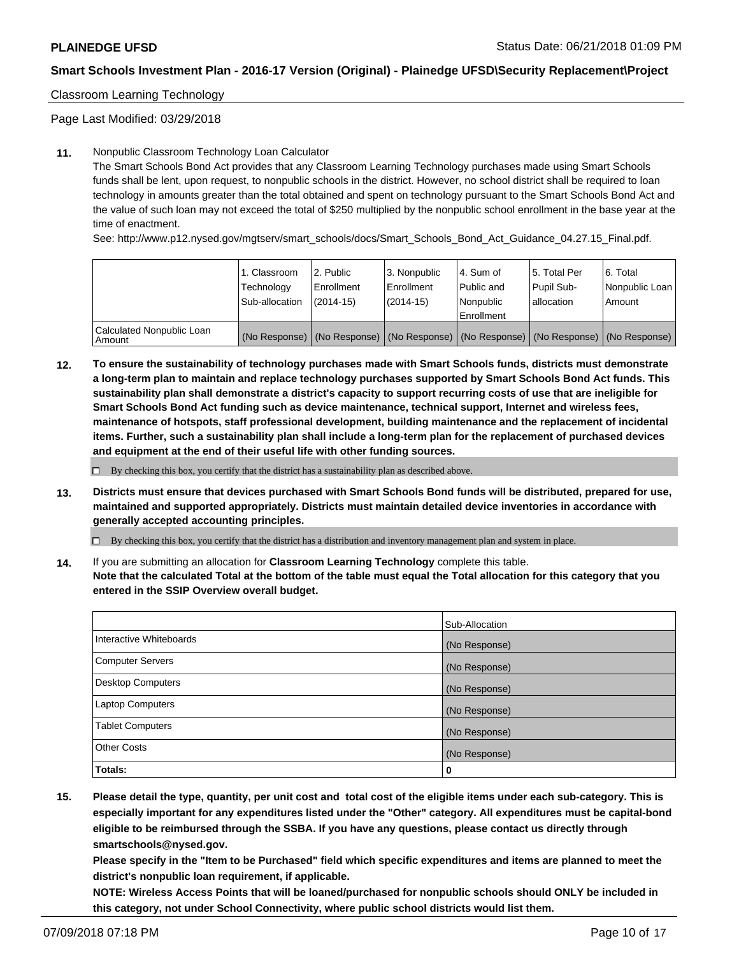### Classroom Learning Technology

Page Last Modified: 03/29/2018

### **11.** Nonpublic Classroom Technology Loan Calculator

The Smart Schools Bond Act provides that any Classroom Learning Technology purchases made using Smart Schools funds shall be lent, upon request, to nonpublic schools in the district. However, no school district shall be required to loan technology in amounts greater than the total obtained and spent on technology pursuant to the Smart Schools Bond Act and the value of such loan may not exceed the total of \$250 multiplied by the nonpublic school enrollment in the base year at the time of enactment.

See: http://www.p12.nysed.gov/mgtserv/smart\_schools/docs/Smart\_Schools\_Bond\_Act\_Guidance\_04.27.15\_Final.pdf.

|                                       | 1. Classroom<br>Technology<br>Sub-allocation | l 2. Public<br>Enrollment<br>$(2014 - 15)$ | l 3. Nonpublic<br>Enrollment<br>(2014-15) | 4. Sum of<br>Public and<br>l Nonpublic<br>Enrollment | l 5. Total Per<br>Pupil Sub-<br>lallocation                                                   | l 6. Total<br>Nonpublic Loan<br>Amount |
|---------------------------------------|----------------------------------------------|--------------------------------------------|-------------------------------------------|------------------------------------------------------|-----------------------------------------------------------------------------------------------|----------------------------------------|
| Calculated Nonpublic Loan<br>l Amount |                                              |                                            |                                           |                                                      | (No Response)   (No Response)   (No Response)   (No Response)   (No Response)   (No Response) |                                        |

**12. To ensure the sustainability of technology purchases made with Smart Schools funds, districts must demonstrate a long-term plan to maintain and replace technology purchases supported by Smart Schools Bond Act funds. This sustainability plan shall demonstrate a district's capacity to support recurring costs of use that are ineligible for Smart Schools Bond Act funding such as device maintenance, technical support, Internet and wireless fees, maintenance of hotspots, staff professional development, building maintenance and the replacement of incidental items. Further, such a sustainability plan shall include a long-term plan for the replacement of purchased devices and equipment at the end of their useful life with other funding sources.**

 $\square$  By checking this box, you certify that the district has a sustainability plan as described above.

**13. Districts must ensure that devices purchased with Smart Schools Bond funds will be distributed, prepared for use, maintained and supported appropriately. Districts must maintain detailed device inventories in accordance with generally accepted accounting principles.**

By checking this box, you certify that the district has a distribution and inventory management plan and system in place.

**14.** If you are submitting an allocation for **Classroom Learning Technology** complete this table.

**Note that the calculated Total at the bottom of the table must equal the Total allocation for this category that you entered in the SSIP Overview overall budget.**

|                          | Sub-Allocation |
|--------------------------|----------------|
| Interactive Whiteboards  | (No Response)  |
| <b>Computer Servers</b>  | (No Response)  |
| <b>Desktop Computers</b> | (No Response)  |
| <b>Laptop Computers</b>  | (No Response)  |
| <b>Tablet Computers</b>  | (No Response)  |
| <b>Other Costs</b>       | (No Response)  |
| Totals:                  | 0              |

**15. Please detail the type, quantity, per unit cost and total cost of the eligible items under each sub-category. This is especially important for any expenditures listed under the "Other" category. All expenditures must be capital-bond eligible to be reimbursed through the SSBA. If you have any questions, please contact us directly through smartschools@nysed.gov.**

**Please specify in the "Item to be Purchased" field which specific expenditures and items are planned to meet the district's nonpublic loan requirement, if applicable.**

**NOTE: Wireless Access Points that will be loaned/purchased for nonpublic schools should ONLY be included in this category, not under School Connectivity, where public school districts would list them.**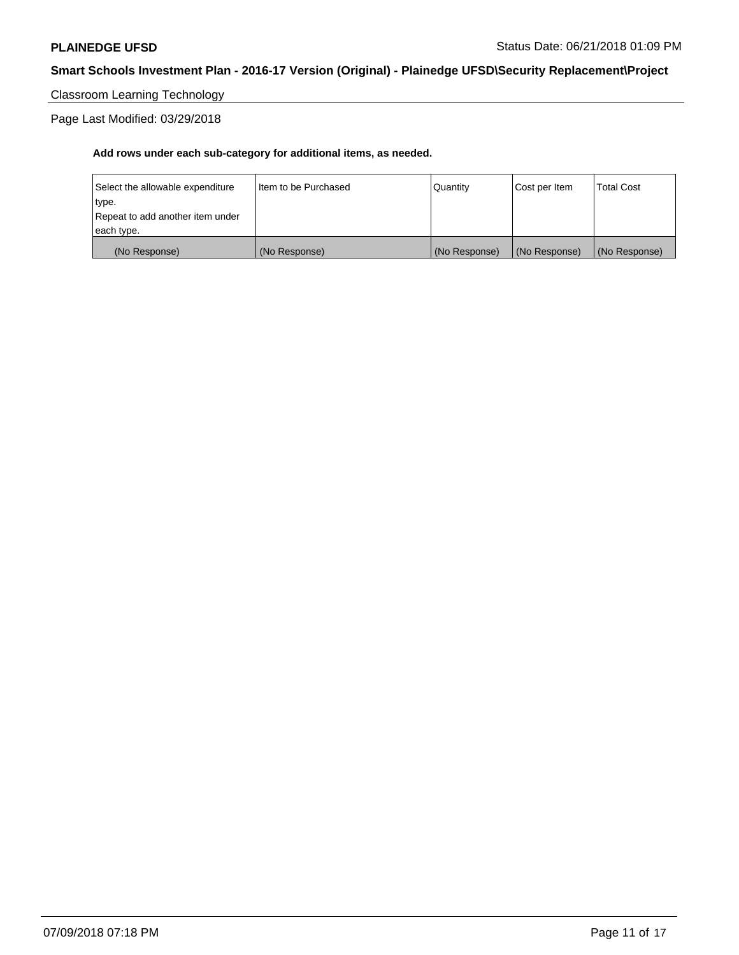Classroom Learning Technology

Page Last Modified: 03/29/2018

| (No Response)                    | (No Response)          | (No Response) | (No Response) | (No Response)     |
|----------------------------------|------------------------|---------------|---------------|-------------------|
| each type.                       |                        |               |               |                   |
| Repeat to add another item under |                        |               |               |                   |
| type.                            |                        |               |               |                   |
| Select the allowable expenditure | I Item to be Purchased | l Quantitv    | Cost per Item | <b>Total Cost</b> |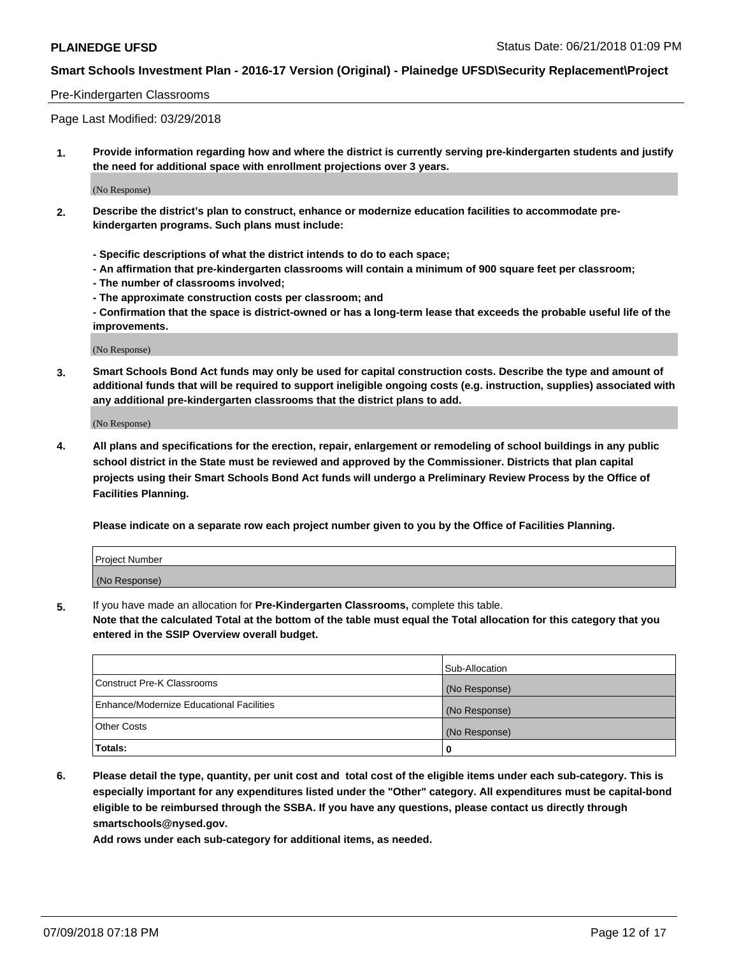### Pre-Kindergarten Classrooms

Page Last Modified: 03/29/2018

**1. Provide information regarding how and where the district is currently serving pre-kindergarten students and justify the need for additional space with enrollment projections over 3 years.**

(No Response)

- **2. Describe the district's plan to construct, enhance or modernize education facilities to accommodate prekindergarten programs. Such plans must include:**
	- **Specific descriptions of what the district intends to do to each space;**
	- **An affirmation that pre-kindergarten classrooms will contain a minimum of 900 square feet per classroom;**
	- **The number of classrooms involved;**
	- **The approximate construction costs per classroom; and**
	- **Confirmation that the space is district-owned or has a long-term lease that exceeds the probable useful life of the improvements.**

(No Response)

**3. Smart Schools Bond Act funds may only be used for capital construction costs. Describe the type and amount of additional funds that will be required to support ineligible ongoing costs (e.g. instruction, supplies) associated with any additional pre-kindergarten classrooms that the district plans to add.**

(No Response)

**4. All plans and specifications for the erection, repair, enlargement or remodeling of school buildings in any public school district in the State must be reviewed and approved by the Commissioner. Districts that plan capital projects using their Smart Schools Bond Act funds will undergo a Preliminary Review Process by the Office of Facilities Planning.**

**Please indicate on a separate row each project number given to you by the Office of Facilities Planning.**

| <b>Project Number</b> |  |
|-----------------------|--|
| (No Response)         |  |

**5.** If you have made an allocation for **Pre-Kindergarten Classrooms,** complete this table.

**Note that the calculated Total at the bottom of the table must equal the Total allocation for this category that you entered in the SSIP Overview overall budget.**

|                                          | Sub-Allocation |
|------------------------------------------|----------------|
| Construct Pre-K Classrooms               | (No Response)  |
| Enhance/Modernize Educational Facilities | (No Response)  |
| Other Costs                              | (No Response)  |
| Totals:                                  | 0              |

**6. Please detail the type, quantity, per unit cost and total cost of the eligible items under each sub-category. This is especially important for any expenditures listed under the "Other" category. All expenditures must be capital-bond eligible to be reimbursed through the SSBA. If you have any questions, please contact us directly through smartschools@nysed.gov.**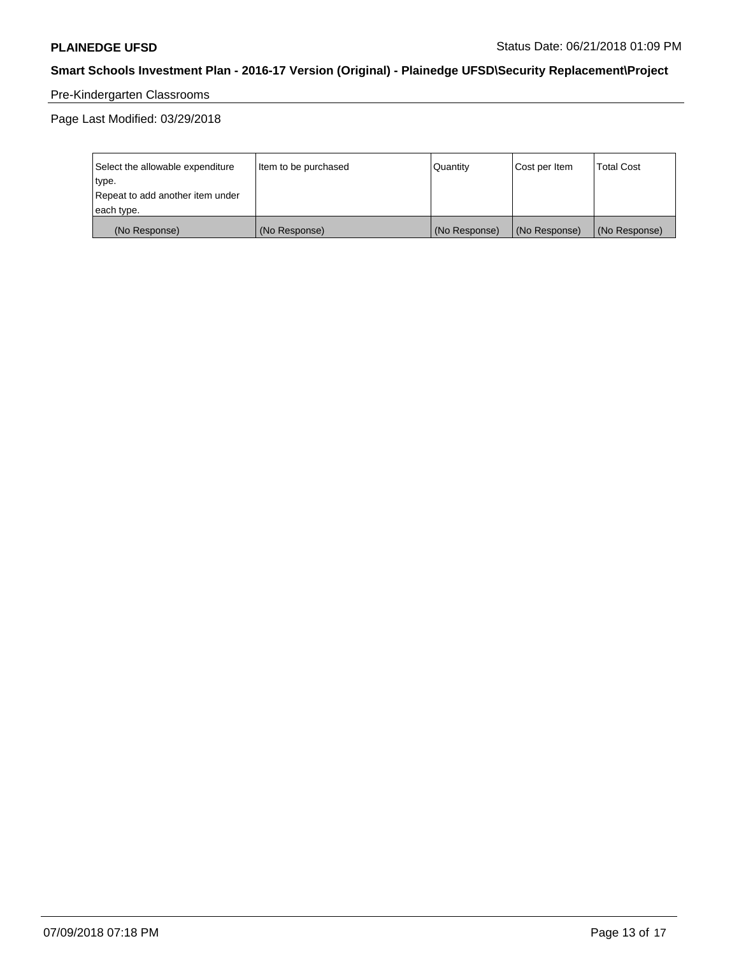# Pre-Kindergarten Classrooms

Page Last Modified: 03/29/2018

| Select the allowable expenditure | Item to be purchased | <b>Quantity</b> | Cost per Item | <b>Total Cost</b> |
|----------------------------------|----------------------|-----------------|---------------|-------------------|
| type.                            |                      |                 |               |                   |
| Repeat to add another item under |                      |                 |               |                   |
| each type.                       |                      |                 |               |                   |
| (No Response)                    | (No Response)        | (No Response)   | (No Response) | (No Response)     |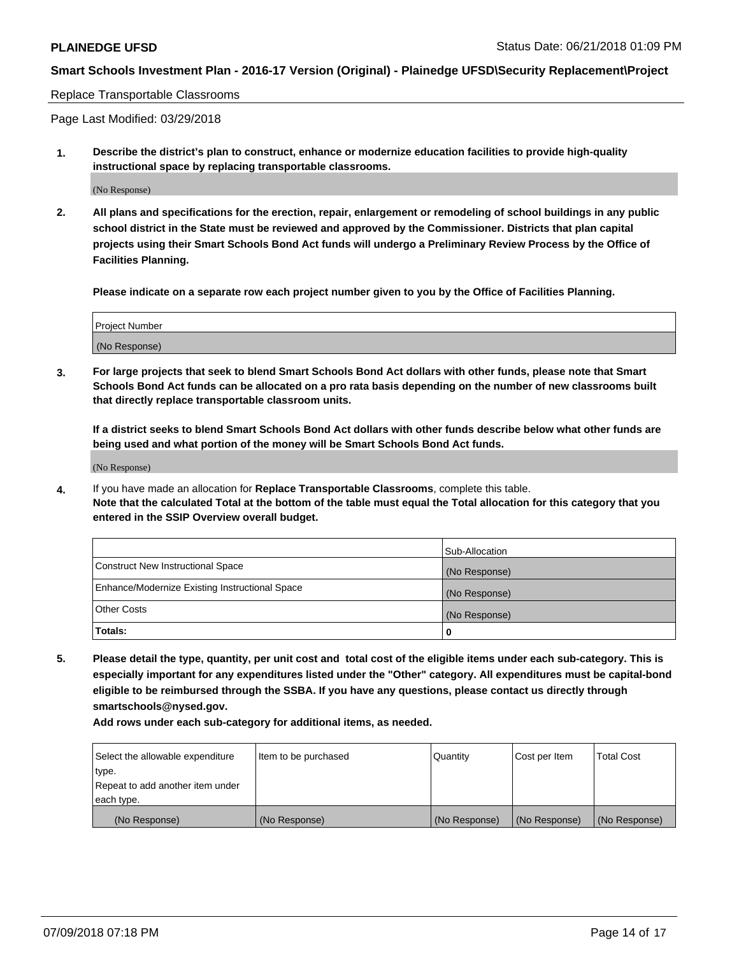#### Replace Transportable Classrooms

Page Last Modified: 03/29/2018

**1. Describe the district's plan to construct, enhance or modernize education facilities to provide high-quality instructional space by replacing transportable classrooms.**

(No Response)

**2. All plans and specifications for the erection, repair, enlargement or remodeling of school buildings in any public school district in the State must be reviewed and approved by the Commissioner. Districts that plan capital projects using their Smart Schools Bond Act funds will undergo a Preliminary Review Process by the Office of Facilities Planning.**

**Please indicate on a separate row each project number given to you by the Office of Facilities Planning.**

| <b>Project Number</b> |  |
|-----------------------|--|
| (No Response)         |  |
|                       |  |

**3. For large projects that seek to blend Smart Schools Bond Act dollars with other funds, please note that Smart Schools Bond Act funds can be allocated on a pro rata basis depending on the number of new classrooms built that directly replace transportable classroom units.**

**If a district seeks to blend Smart Schools Bond Act dollars with other funds describe below what other funds are being used and what portion of the money will be Smart Schools Bond Act funds.**

(No Response)

**4.** If you have made an allocation for **Replace Transportable Classrooms**, complete this table. **Note that the calculated Total at the bottom of the table must equal the Total allocation for this category that you entered in the SSIP Overview overall budget.**

|                                                | Sub-Allocation |
|------------------------------------------------|----------------|
| Construct New Instructional Space              | (No Response)  |
| Enhance/Modernize Existing Instructional Space | (No Response)  |
| Other Costs                                    | (No Response)  |
| Totals:                                        | 0              |

**5. Please detail the type, quantity, per unit cost and total cost of the eligible items under each sub-category. This is especially important for any expenditures listed under the "Other" category. All expenditures must be capital-bond eligible to be reimbursed through the SSBA. If you have any questions, please contact us directly through smartschools@nysed.gov.**

| Select the allowable expenditure | Item to be purchased | Quantity      | Cost per Item | <b>Total Cost</b> |
|----------------------------------|----------------------|---------------|---------------|-------------------|
| type.                            |                      |               |               |                   |
| Repeat to add another item under |                      |               |               |                   |
| each type.                       |                      |               |               |                   |
| (No Response)                    | (No Response)        | (No Response) | (No Response) | (No Response)     |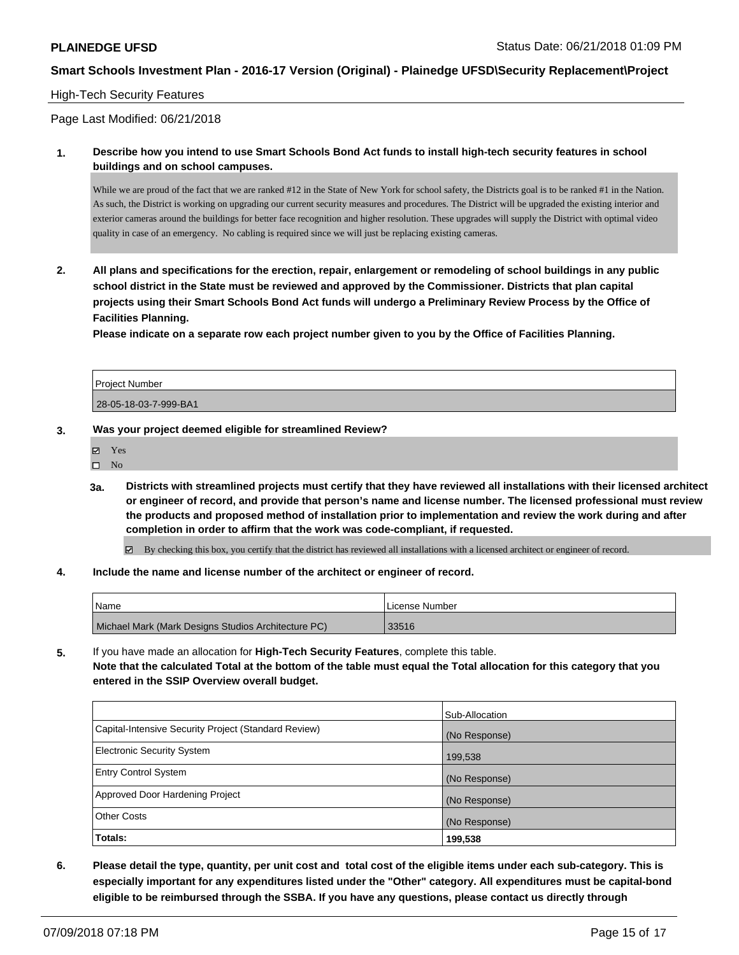### High-Tech Security Features

Page Last Modified: 06/21/2018

**1. Describe how you intend to use Smart Schools Bond Act funds to install high-tech security features in school buildings and on school campuses.**

While we are proud of the fact that we are ranked #12 in the State of New York for school safety, the District s goal is to be ranked #1 in the Nation. As such, the District is working on upgrading our current security measures and procedures. The District will be upgraded the existing interior and exterior cameras around the buildings for better face recognition and higher resolution. These upgrades will supply the District with optimal video quality in case of an emergency. No cabling is required since we will just be replacing existing cameras.

**2. All plans and specifications for the erection, repair, enlargement or remodeling of school buildings in any public school district in the State must be reviewed and approved by the Commissioner. Districts that plan capital projects using their Smart Schools Bond Act funds will undergo a Preliminary Review Process by the Office of Facilities Planning.** 

**Please indicate on a separate row each project number given to you by the Office of Facilities Planning.**

| Project Number        |  |
|-----------------------|--|
|                       |  |
| 28-05-18-03-7-999-BA1 |  |

#### **3. Was your project deemed eligible for streamlined Review?**

| 罓 | <b>Yes</b> |
|---|------------|
| П | Nο         |

**3a. Districts with streamlined projects must certify that they have reviewed all installations with their licensed architect or engineer of record, and provide that person's name and license number. The licensed professional must review the products and proposed method of installation prior to implementation and review the work during and after completion in order to affirm that the work was code-compliant, if requested.**

By checking this box, you certify that the district has reviewed all installations with a licensed architect or engineer of record.

**4. Include the name and license number of the architect or engineer of record.**

| <sup>1</sup> Name                                   | License Number |
|-----------------------------------------------------|----------------|
| Michael Mark (Mark Designs Studios Architecture PC) | 33516          |

**5.** If you have made an allocation for **High-Tech Security Features**, complete this table. **Note that the calculated Total at the bottom of the table must equal the Total allocation for this category that you entered in the SSIP Overview overall budget.**

|                                                      | Sub-Allocation |
|------------------------------------------------------|----------------|
| Capital-Intensive Security Project (Standard Review) | (No Response)  |
| <b>Electronic Security System</b>                    | 199,538        |
| <b>Entry Control System</b>                          | (No Response)  |
| Approved Door Hardening Project                      | (No Response)  |
| <b>Other Costs</b>                                   | (No Response)  |
| Totals:                                              | 199,538        |

**6. Please detail the type, quantity, per unit cost and total cost of the eligible items under each sub-category. This is especially important for any expenditures listed under the "Other" category. All expenditures must be capital-bond eligible to be reimbursed through the SSBA. If you have any questions, please contact us directly through**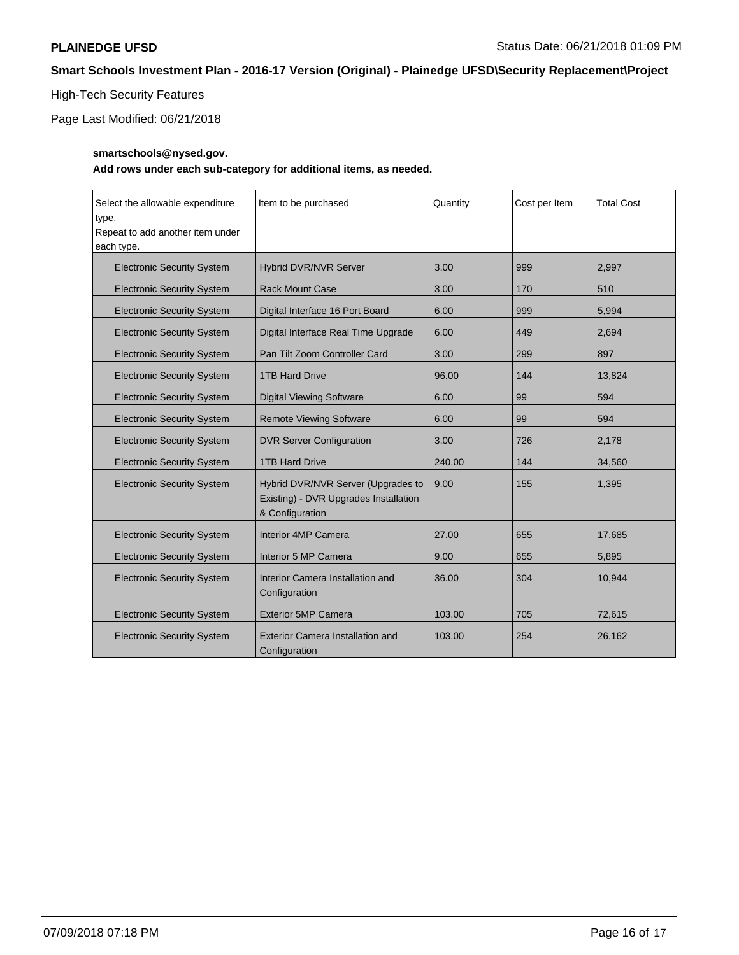## High-Tech Security Features

Page Last Modified: 06/21/2018

### **smartschools@nysed.gov.**

| Select the allowable expenditure<br>type.<br>Repeat to add another item under<br>each type. | Item to be purchased                                                                           | Quantity | Cost per Item | <b>Total Cost</b> |
|---------------------------------------------------------------------------------------------|------------------------------------------------------------------------------------------------|----------|---------------|-------------------|
| <b>Electronic Security System</b>                                                           | Hybrid DVR/NVR Server                                                                          | 3.00     | 999           | 2.997             |
| <b>Electronic Security System</b>                                                           | <b>Rack Mount Case</b>                                                                         | 3.00     | 170           | 510               |
| <b>Electronic Security System</b>                                                           | Digital Interface 16 Port Board                                                                | 6.00     | 999           | 5,994             |
| <b>Electronic Security System</b>                                                           | Digital Interface Real Time Upgrade                                                            | 6.00     | 449           | 2.694             |
| <b>Electronic Security System</b>                                                           | Pan Tilt Zoom Controller Card                                                                  | 3.00     | 299           | 897               |
| <b>Electronic Security System</b>                                                           | <b>1TB Hard Drive</b>                                                                          | 96.00    | 144           | 13,824            |
| <b>Electronic Security System</b>                                                           | <b>Digital Viewing Software</b>                                                                | 6.00     | 99            | 594               |
| <b>Electronic Security System</b>                                                           | <b>Remote Viewing Software</b>                                                                 | 6.00     | 99            | 594               |
| <b>Electronic Security System</b>                                                           | <b>DVR Server Configuration</b>                                                                | 3.00     | 726           | 2,178             |
| <b>Electronic Security System</b>                                                           | <b>1TB Hard Drive</b>                                                                          | 240.00   | 144           | 34,560            |
| <b>Electronic Security System</b>                                                           | Hybrid DVR/NVR Server (Upgrades to<br>Existing) - DVR Upgrades Installation<br>& Configuration | 9.00     | 155           | 1,395             |
| <b>Electronic Security System</b>                                                           | Interior 4MP Camera                                                                            | 27.00    | 655           | 17,685            |
| <b>Electronic Security System</b>                                                           | Interior 5 MP Camera                                                                           | 9.00     | 655           | 5.895             |
| <b>Electronic Security System</b>                                                           | Interior Camera Installation and<br>Configuration                                              | 36.00    | 304           | 10,944            |
| <b>Electronic Security System</b>                                                           | <b>Exterior 5MP Camera</b>                                                                     | 103.00   | 705           | 72,615            |
| <b>Electronic Security System</b>                                                           | <b>Exterior Camera Installation and</b><br>Configuration                                       | 103.00   | 254           | 26,162            |